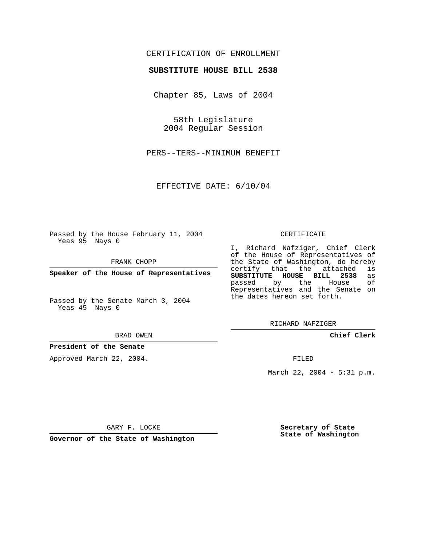# CERTIFICATION OF ENROLLMENT

### **SUBSTITUTE HOUSE BILL 2538**

Chapter 85, Laws of 2004

58th Legislature 2004 Regular Session

PERS--TERS--MINIMUM BENEFIT

EFFECTIVE DATE: 6/10/04

Passed by the House February 11, 2004 Yeas 95 Nays 0

FRANK CHOPP

**Speaker of the House of Representatives**

Passed by the Senate March 3, 2004 Yeas 45 Nays 0

#### BRAD OWEN

### **President of the Senate**

Approved March 22, 2004.

#### CERTIFICATE

I, Richard Nafziger, Chief Clerk of the House of Representatives of the State of Washington, do hereby<br>certify that the attached is certify that the attached **SUBSTITUTE HOUSE BILL 2538** as passed by the Representatives and the Senate on the dates hereon set forth.

RICHARD NAFZIGER

**Chief Clerk**

FILED

March 22, 2004 - 5:31 p.m.

GARY F. LOCKE

**Governor of the State of Washington**

**Secretary of State State of Washington**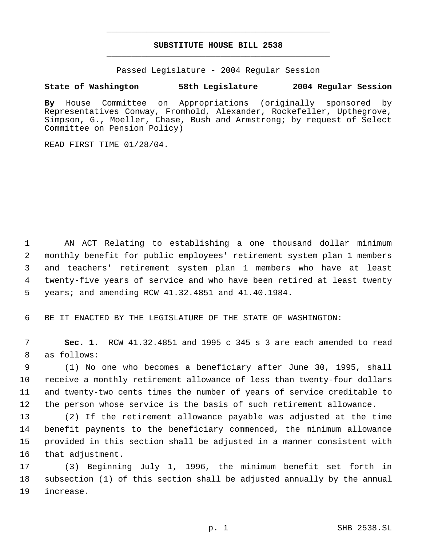# **SUBSTITUTE HOUSE BILL 2538** \_\_\_\_\_\_\_\_\_\_\_\_\_\_\_\_\_\_\_\_\_\_\_\_\_\_\_\_\_\_\_\_\_\_\_\_\_\_\_\_\_\_\_\_\_

\_\_\_\_\_\_\_\_\_\_\_\_\_\_\_\_\_\_\_\_\_\_\_\_\_\_\_\_\_\_\_\_\_\_\_\_\_\_\_\_\_\_\_\_\_

Passed Legislature - 2004 Regular Session

# **State of Washington 58th Legislature 2004 Regular Session**

**By** House Committee on Appropriations (originally sponsored by Representatives Conway, Fromhold, Alexander, Rockefeller, Upthegrove, Simpson, G., Moeller, Chase, Bush and Armstrong; by request of Select Committee on Pension Policy)

READ FIRST TIME 01/28/04.

 AN ACT Relating to establishing a one thousand dollar minimum monthly benefit for public employees' retirement system plan 1 members and teachers' retirement system plan 1 members who have at least twenty-five years of service and who have been retired at least twenty years; and amending RCW 41.32.4851 and 41.40.1984.

BE IT ENACTED BY THE LEGISLATURE OF THE STATE OF WASHINGTON:

 **Sec. 1.** RCW 41.32.4851 and 1995 c 345 s 3 are each amended to read as follows:

 (1) No one who becomes a beneficiary after June 30, 1995, shall receive a monthly retirement allowance of less than twenty-four dollars and twenty-two cents times the number of years of service creditable to the person whose service is the basis of such retirement allowance.

 (2) If the retirement allowance payable was adjusted at the time benefit payments to the beneficiary commenced, the minimum allowance provided in this section shall be adjusted in a manner consistent with that adjustment.

 (3) Beginning July 1, 1996, the minimum benefit set forth in subsection (1) of this section shall be adjusted annually by the annual increase.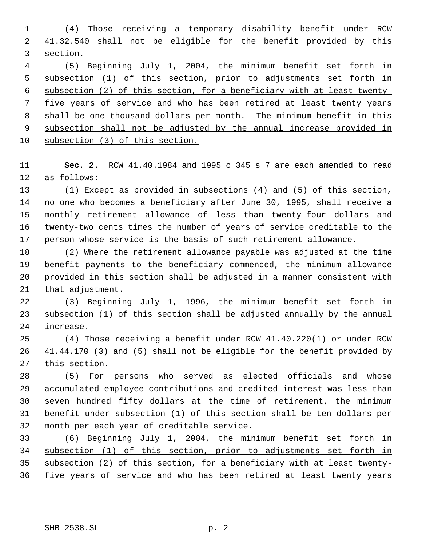(4) Those receiving a temporary disability benefit under RCW 41.32.540 shall not be eligible for the benefit provided by this section.

 (5) Beginning July 1, 2004, the minimum benefit set forth in subsection (1) of this section, prior to adjustments set forth in subsection (2) of this section, for a beneficiary with at least twenty- five years of service and who has been retired at least twenty years 8 shall be one thousand dollars per month. The minimum benefit in this subsection shall not be adjusted by the annual increase provided in subsection (3) of this section.

 **Sec. 2.** RCW 41.40.1984 and 1995 c 345 s 7 are each amended to read as follows:

 (1) Except as provided in subsections (4) and (5) of this section, no one who becomes a beneficiary after June 30, 1995, shall receive a monthly retirement allowance of less than twenty-four dollars and twenty-two cents times the number of years of service creditable to the person whose service is the basis of such retirement allowance.

 (2) Where the retirement allowance payable was adjusted at the time benefit payments to the beneficiary commenced, the minimum allowance provided in this section shall be adjusted in a manner consistent with that adjustment.

 (3) Beginning July 1, 1996, the minimum benefit set forth in subsection (1) of this section shall be adjusted annually by the annual increase.

 (4) Those receiving a benefit under RCW 41.40.220(1) or under RCW 41.44.170 (3) and (5) shall not be eligible for the benefit provided by this section.

 (5) For persons who served as elected officials and whose accumulated employee contributions and credited interest was less than seven hundred fifty dollars at the time of retirement, the minimum benefit under subsection (1) of this section shall be ten dollars per month per each year of creditable service.

 (6) Beginning July 1, 2004, the minimum benefit set forth in subsection (1) of this section, prior to adjustments set forth in subsection (2) of this section, for a beneficiary with at least twenty-36 five years of service and who has been retired at least twenty years